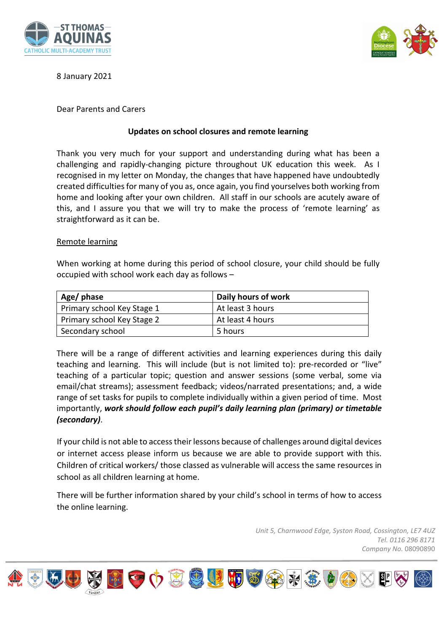



# 8 January 2021

## Dear Parents and Carers

## **Updates on school closures and remote learning**

Thank you very much for your support and understanding during what has been a challenging and rapidly-changing picture throughout UK education this week. As I recognised in my letter on Monday, the changes that have happened have undoubtedly created difficulties for many of you as, once again, you find yourselves both working from home and looking after your own children. All staff in our schools are acutely aware of this, and I assure you that we will try to make the process of 'remote learning' as straightforward as it can be.

#### Remote learning

When working at home during this period of school closure, your child should be fully occupied with school work each day as follows –

| Age/ phase                 | Daily hours of work |
|----------------------------|---------------------|
| Primary school Key Stage 1 | At least 3 hours    |
| Primary school Key Stage 2 | At least 4 hours    |
| Secondary school           | 5 hours             |

There will be a range of different activities and learning experiences during this daily teaching and learning. This will include (but is not limited to): pre-recorded or "live" teaching of a particular topic; question and answer sessions (some verbal, some via email/chat streams); assessment feedback; videos/narrated presentations; and, a wide range of set tasks for pupils to complete individually within a given period of time. Most importantly, *work should follow each pupil's daily learning plan (primary) or timetable (secondary)*.

If your child is not able to access their lessons because of challenges around digital devices or internet access please inform us because we are able to provide support with this. Children of critical workers/ those classed as vulnerable will access the same resources in school as all children learning at home.

There will be further information shared by your child's school in terms of how to access the online learning.

> *Unit 5, Charnwood Edge, Syston Road, Cossington, LE7 4UZ Tel. 0116 296 8171 Company No.* 08090890